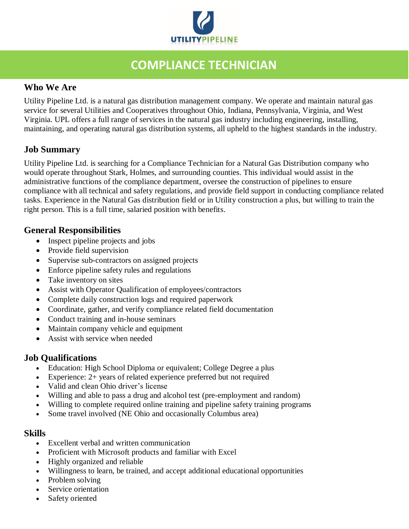

## **COMPLIANCE TECHNICIAN**

### **Who We Are**

Utility Pipeline Ltd. is a natural gas distribution management company. We operate and maintain natural gas service for several Utilities and Cooperatives throughout Ohio, Indiana, Pennsylvania, Virginia, and West Virginia. UPL offers a full range of services in the natural gas industry including engineering, installing, maintaining, and operating natural gas distribution systems, all upheld to the highest standards in the industry.

#### **Job Summary**

Utility Pipeline Ltd. is searching for a Compliance Technician for a Natural Gas Distribution company who would operate throughout Stark, Holmes, and surrounding counties. This individual would assist in the administrative functions of the compliance department, oversee the construction of pipelines to ensure compliance with all technical and safety regulations, and provide field support in conducting compliance related tasks. Experience in the Natural Gas distribution field or in Utility construction a plus, but willing to train the right person. This is a full time, salaried position with benefits.

#### **General Responsibilities**

- Inspect pipeline projects and jobs
- Provide field supervision
- Supervise sub-contractors on assigned projects
- Enforce pipeline safety rules and regulations
- Take inventory on sites
- Assist with Operator Qualification of employees/contractors
- Complete daily construction logs and required paperwork
- Coordinate, gather, and verify compliance related field documentation
- Conduct training and in-house seminars
- Maintain company vehicle and equipment
- Assist with service when needed

#### **Job Qualifications**

- Education: High School Diploma or equivalent; College Degree a plus
- Experience: 2+ years of related experience preferred but not required
- Valid and clean Ohio driver's license
- Willing and able to pass a drug and alcohol test (pre-employment and random)
- Willing to complete required online training and pipeline safety training programs
- Some travel involved (NE Ohio and occasionally Columbus area)

#### **Skills**

- Excellent verbal and written communication
- Proficient with Microsoft products and familiar with Excel
- Highly organized and reliable
- Willingness to learn, be trained, and accept additional educational opportunities
- Problem solving
- Service orientation
- Safety oriented